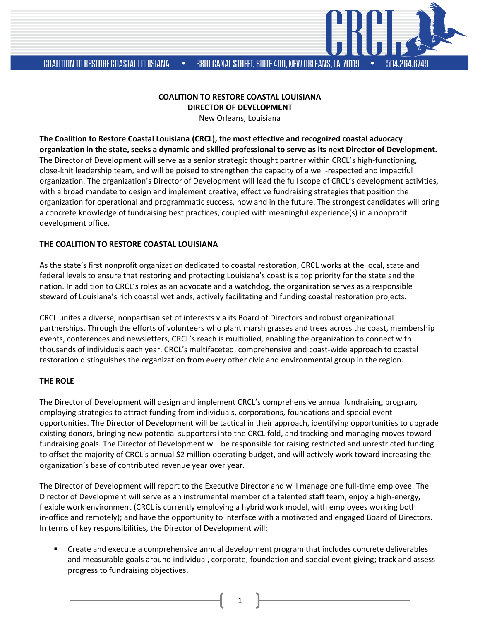**COALITION TO RESTORE COASTAL LOUISIANA** 

5N4 2R4 6749

**COALITION TO RESTORE COASTAL LOUISIANA DIRECTOR OF DEVELOPMENT**

New Orleans, Louisiana

**The Coalition to Restore Coastal Louisiana (CRCL), the most effective and recognized coastal advocacy organization in the state, seeks a dynamic and skilled professional to serve as its next Director of Development.**  The Director of Development will serve as a senior strategic thought partner within CRCL's high-functioning, close-knit leadership team, and will be poised to strengthen the capacity of a well-respected and impactful organization. The organization's Director of Development will lead the full scope of CRCL's development activities, with a broad mandate to design and implement creative, effective fundraising strategies that position the organization for operational and programmatic success, now and in the future. The strongest candidates will bring a concrete knowledge of fundraising best practices, coupled with meaningful experience(s) in a nonprofit development office.

## **THE COALITION TO RESTORE COASTAL LOUISIANA**

As the state's first nonprofit organization dedicated to coastal restoration, CRCL works at the local, state and federal levels to ensure that restoring and protecting Louisiana's coast is a top priority for the state and the nation. In addition to CRCL's roles as an advocate and a watchdog, the organization serves as a responsible steward of Louisiana's rich coastal wetlands, actively facilitating and funding coastal restoration projects.

CRCL unites a diverse, nonpartisan set of interests via its Board of Directors and robust organizational partnerships. Through the efforts of volunteers who plant marsh grasses and trees across the coast, membership events, conferences and newsletters, CRCL's reach is multiplied, enabling the organization to connect with thousands of individuals each year. CRCL's multifaceted, comprehensive and coast-wide approach to coastal restoration distinguishes the organization from every other civic and environmental group in the region.

## **THE ROLE**

The Director of Development will design and implement CRCL's comprehensive annual fundraising program, employing strategies to attract funding from individuals, corporations, foundations and special event opportunities. The Director of Development will be tactical in their approach, identifying opportunities to upgrade existing donors, bringing new potential supporters into the CRCL fold, and tracking and managing moves toward fundraising goals. The Director of Development will be responsible for raising restricted and unrestricted funding to offset the majority of CRCL's annual \$2 million operating budget, and will actively work toward increasing the organization's base of contributed revenue year over year.

The Director of Development will report to the Executive Director and will manage one full-time employee. The Director of Development will serve as an instrumental member of a talented staff team; enjoy a high-energy, flexible work environment (CRCL is currently employing a hybrid work model, with employees working both in-office and remotely); and have the opportunity to interface with a motivated and engaged Board of Directors. In terms of key responsibilities, the Director of Development will:

■ Create and execute a comprehensive annual development program that includes concrete deliverables and measurable goals around individual, corporate, foundation and special event giving; track and assess progress to fundraising objectives.

1